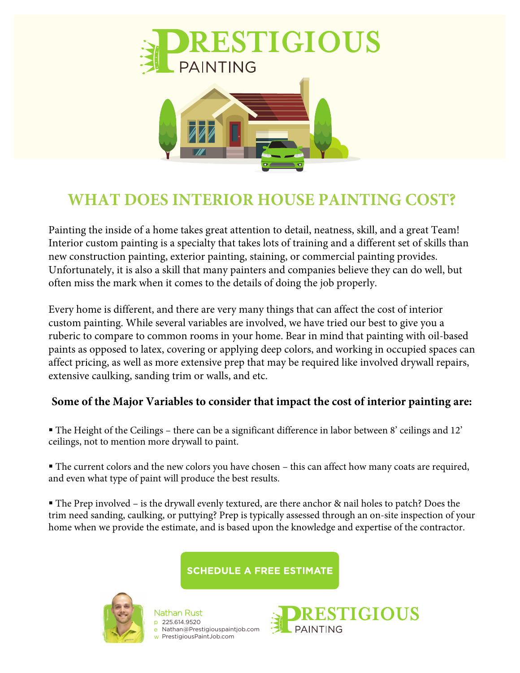

## **WHAT DOES INTERIOR HOUSE PAINTING COST?**

Painting the inside of a home takes great attention to detail, neatness, skill, and a great Team! Interior custom painting is a specialty that takes lots of training and a different set of skills than new construction painting, exterior painting, staining, or commercial painting provides. Unfortunately, it is also a skill that many painters and companies believe they can do well, but often miss the mark when it comes to the details of doing the job properly.

Every home is different, and there are very many things that can affect the cost of interior custom painting. While several variables are involved, we have tried our best to give you a ruberic to compare to common rooms in your home. Bear in mind that painting with oil-based paints as opposed to latex, covering or applying deep colors, and working in occupied spaces can affect pricing, as well as more extensive prep that may be required like involved drywall repairs, extensive caulking, sanding trim or walls, and etc.

## **Some of the Major Variables to consider that impact the cost of interior painting are:**

 The Height of the Ceilings – there can be a significant difference in labor between 8' ceilings and 12' ceilings, not to mention more drywall to paint.

 The current colors and the new colors you have chosen – this can affect how many coats are required, and even what type of paint will produce the best results.

 The Prep involved – is the drywall evenly textured, are there anchor & nail holes to patch? Does the trim need sanding, caulking, or puttying? Prep is typically assessed through an on-site inspection of your home when we provide the estimate, and is based upon the knowledge and expertise of the contractor.

**SCHEDULE A FREE ESTIMATE** 



Nathan Rust p 225.614.9520 e Nathan@Prestigiouspaintjob.com w PrestigiousPaintJob.com

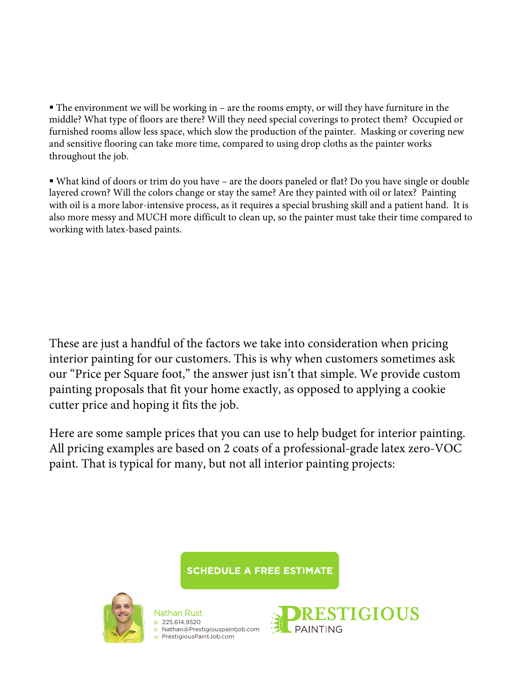$\blacksquare$  The environment we will be working in – are the rooms empty, or will they have furniture in the middle? What type of floors are there? Will they need special coverings to protect them? Occupied or furnished rooms allow less space, which slow the production of the painter. Masking or covering new and sensitive flooring can take more time, compared to using drop cloths as the painter works throughout the job.

 What kind of doors or trim do you have – are the doors paneled or flat? Do you have single or double layered crown? Will the colors change or stay the same? Are they painted with oil or latex? Painting with oil is a more labor-intensive process, as it requires a special brushing skill and a patient hand. It is also more messy and MUCH more difficult to clean up, so the painter must take their time compared to working with latex-based paints.

These are just a handful of the factors we take into consideration when pricing interior painting for our customers. This is why when customers sometimes ask our "Price per Square foot," the answer just isn't that simple. We provide custom painting proposals that fit your home exactly, as opposed to applying a cookie cutter price and hoping it fits the job.

Here are some sample prices that you can use to help budget for interior painting. All pricing examples are based on 2 coats of a professional-grade latex zero-VOC paint. That is typical for many, but not all interior painting projects:

**SCHEDULE A FREE ESTIMATE** 



Nathan Rus<sup>.</sup> p e w PrestigiousPaintJob.com 225.614.9520 Nathan@Prestigiouspaintjob.com